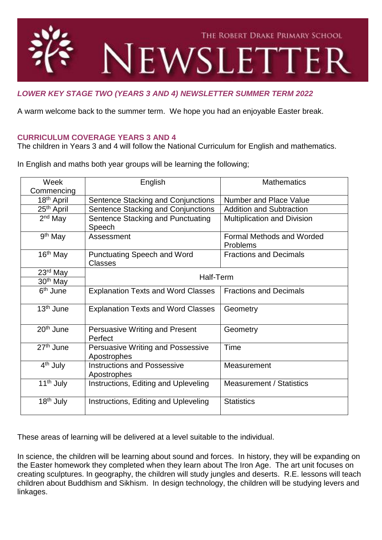

# *LOWER KEY STAGE TWO (YEARS 3 AND 4) NEWSLETTER SUMMER TERM 2022*

A warm welcome back to the summer term. We hope you had an enjoyable Easter break.

### **CURRICULUM COVERAGE YEARS 3 AND 4**

The children in Years 3 and 4 will follow the National Curriculum for English and mathematics.

In English and maths both year groups will be learning the following;

| Week                   | English                                                 | <b>Mathematics</b>                           |
|------------------------|---------------------------------------------------------|----------------------------------------------|
| Commencing             |                                                         |                                              |
| 18 <sup>th</sup> April | Sentence Stacking and Conjunctions                      | <b>Number and Place Value</b>                |
| 25 <sup>th</sup> April | Sentence Stacking and Conjunctions                      | <b>Addition and Subtraction</b>              |
| $2nd$ May              | Sentence Stacking and Punctuating<br>Speech             | Multiplication and Division                  |
| 9 <sup>th</sup> May    | Assessment                                              | <b>Formal Methods and Worded</b><br>Problems |
| 16 <sup>th</sup> May   | <b>Punctuating Speech and Word</b><br><b>Classes</b>    | <b>Fractions and Decimals</b>                |
| 23rd May               | Half-Term                                               |                                              |
| 30 <sup>th</sup> May   |                                                         |                                              |
| 6 <sup>th</sup> June   | <b>Explanation Texts and Word Classes</b>               | <b>Fractions and Decimals</b>                |
| 13 <sup>th</sup> June  | <b>Explanation Texts and Word Classes</b>               | Geometry                                     |
| 20 <sup>th</sup> June  | Persuasive Writing and Present<br>Perfect               | Geometry                                     |
| 27 <sup>th</sup> June  | <b>Persuasive Writing and Possessive</b><br>Apostrophes | Time                                         |
| 4 <sup>th</sup> July   | <b>Instructions and Possessive</b><br>Apostrophes       | Measurement                                  |
| 11 <sup>th</sup> July  | Instructions, Editing and Upleveling                    | <b>Measurement / Statistics</b>              |
| 18 <sup>th</sup> July  | Instructions, Editing and Upleveling                    | <b>Statistics</b>                            |

These areas of learning will be delivered at a level suitable to the individual.

In science, the children will be learning about sound and forces. In history, they will be expanding on the Easter homework they completed when they learn about The Iron Age. The art unit focuses on creating sculptures. In geography, the children will study jungles and deserts. R.E. lessons will teach children about Buddhism and Sikhism. In design technology, the children will be studying levers and linkages.